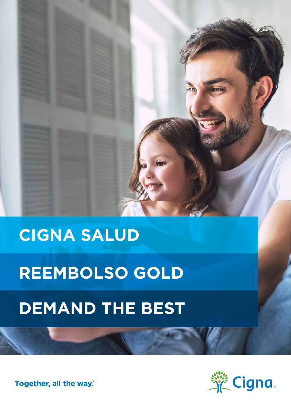## **CIGNA SALUD**

# **REEMBOLSO GOLD**

## **DEMAND THE BEST**

Together, all the way."

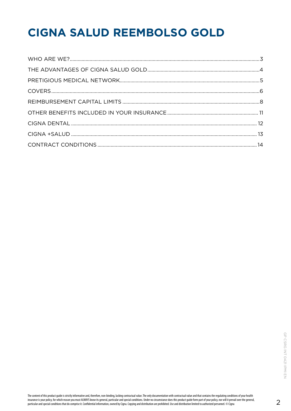## **CIGNA SALUD REEMBOLSO GOLD**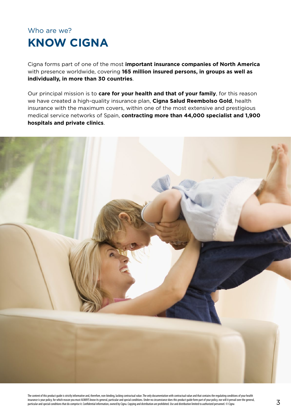### <span id="page-2-0"></span>Who are we? **KNOW CIGNA**

Cigna forms part of one of the most **important insurance companies of North America** with presence worldwide, covering **165 million insured persons, in groups as well as individually, in more than 30 countries**.

Our principal mission is to **care for your health and that of your family**, for this reason we have created a high-quality insurance plan, **Cigna Salud Reembolso Gold**, health insurance with the maximum covers, within one of the most extensive and prestigious medical service networks of Spain, **contracting more than 44,000 specialist and 1,900 hospitals and private clinics**.

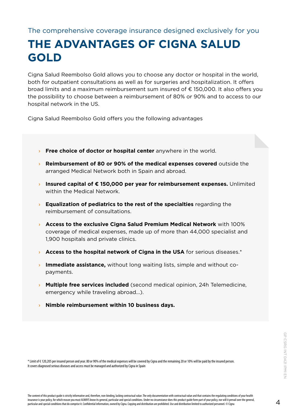### <span id="page-3-0"></span>The comprehensive coverage insurance designed exclusively for you

### **THE ADVANTAGES OF CIGNA SALUD GOLD**

Cigna Salud Reembolso Gold allows you to choose any doctor or hospital in the world, both for outpatient consultations as well as for surgeries and hospitalization. It offers broad limits and a maximum reimbursement sum insured of € 150,000. It also offers you the possibility to choose between a reimbursement of 80% or 90% and to access to our hospital network in the US.

Cigna Salud Reembolso Gold offers you the following advantages

- **> Free choice of doctor or hospital center** anywhere in the world.
- **› Reimbursement of 80 or 90% of the medical expenses covered** outside the arranged Medical Network both in Spain and abroad.
- **› Insured capital of € 150,000 per year for reimbursement expenses.** Unlimited within the Medical Network.
- **› Equalization of pediatrics to the rest of the specialties** regarding the reimbursement of consultations.
- **› Access to the exclusive Cigna Salud Premium Medical Network** with 100% coverage of medical expenses, made up of more than 44,000 specialist and 1,900 hospitals and private clinics.
- **Access to the hospital network of Cigna in the USA** for serious diseases.\*
- **› Immediate assistance,** without long waiting lists, simple and without copayments.
- **› Multiple free services included** (second medical opinion, 24h Telemedicine, emergency while traveling abroad...).
- **› Nimble reimbursement within 10 business days.**

\* Limit of € 120,205 per insured person and year. 80 or 90% of the medical expenses will be covered by Cigna and the remaining 20 or 10% will be paid by the insured person. It covers diagnosed serious diseases and access must be managed and authorized by Cigna in Spain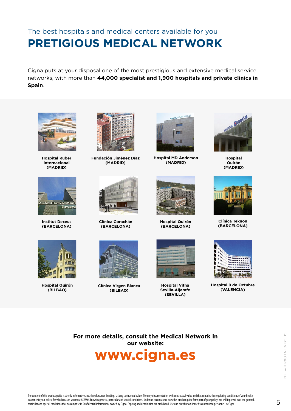### <span id="page-4-0"></span>The best hospitals and medical centers available for you **PRETIGIOUS MEDICAL NETWORK**

Cigna puts at your disposal one of the most prestigious and extensive medical service networks, with more than **44,000 specialist and 1,900 hospitals and private clinics in Spain**.



**Hospital Ruber Internacional (MADRID)**



**Fundación Jiménez Díaz (MADRID)**



**Hospital MD Anderson (MADRID)**



**Hospital Quirón (MADRID)**



**Institut Dexeus (BARCELONA)**



**Hospital Quirón (BILBAO)**



**Clínica Corachán (BARCELONA)**



**Clínica Virgen Blanca (BILBAO)**



**Hospital Quirón (BARCELONA)**



**Hospital Vitha Sevilla-Aljarafe (SEVILLA)**



**Clínica Teknon (BARCELONA)**



**Hospital 9 de Octubre (VALENCIA)**

**For more details, consult the Medical Network in our website:**

### **www.cigna.es**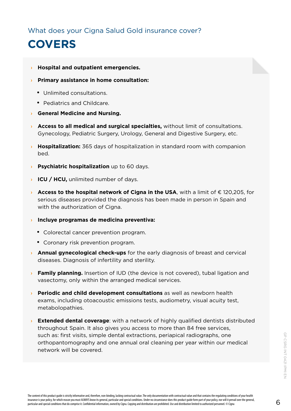<span id="page-5-0"></span>What does your Cigna Salud Gold insurance cover?

### **COVERS**

- **› Hospital and outpatient emergencies.**
- **› Primary assistance in home consultation:**
	- Unlimited consultations.
	- Pediatrics and Childcare.
- **› General Medicine and Nursing.**
- **› Access to all medical and surgical specialties,** without limit of consultations. Gynecology, Pediatric Surgery, Urology, General and Digestive Surgery, etc.
- **› Hospitalization:** 365 days of hospitalization in standard room with companion bed.
- **› Psychiatric hospitalization** up to 60 days.
- **› ICU / HCU,** unlimited number of days.
- **› Access to the hospital network of Cigna in the USA**, with a limit of € 120,205, for serious diseases provided the diagnosis has been made in person in Spain and with the authorization of Cigna.
- **› Incluye programas de medicina preventiva:**
	- Colorectal cancer prevention program.
	- Coronary risk prevention program.
- **› Annual gynecological check-ups** for the early diagnosis of breast and cervical diseases. Diagnosis of infertility and sterility.
- **› Family planning.** Insertion of IUD (the device is not covered), tubal ligation and vasectomy, only within the arranged medical services.
- **› Periodic and child development consultations** as well as newborn health exams, including otoacoustic emissions tests, audiometry, visual acuity test, metabolopathies.
- **› Extended dental coverage**: with a network of highly qualified dentists distributed throughout Spain. It also gives you access to more than 84 free services, such as: first visits, simple dental extractions, periapical radiographs, one orthopantomography and one annual oral cleaning per year within our medical network will be covered.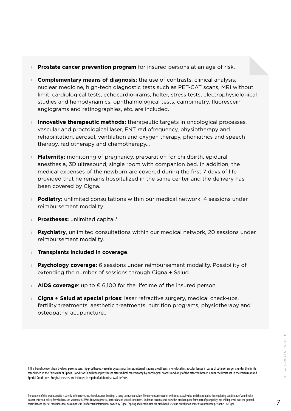- **› Prostate cancer prevention program** for insured persons at an age of risk.
- **› Complementary means of diagnosis:** the use of contrasts, clinical analysis, nuclear medicine, high-tech diagnostic tests such as PET-CAT scans, MRI without limit, cardiological tests, echocardiograms, holter, stress tests, electrophysiological studies and hemodynamics, ophthalmological tests, campimetry, fluorescein angiograms and retinographies, etc. are included.
- **› Innovative therapeutic methods:** therapeutic targets in oncological processes, vascular and proctological laser, ENT radiofrequency, physiotherapy and rehabilitation, aerosol, ventilation and oxygen therapy, phoniatrics and speech therapy, radiotherapy and chemotherapy...
- **› Maternity:** monitoring of pregnancy, preparation for childbirth, epidural anesthesia, 3D ultrasound, single room with companion bed. In addition, the medical expenses of the newborn are covered during the first 7 days of life provided that he remains hospitalized in the same center and the delivery has been covered by Cigna.
- **› Podiatry:** unlimited consultations within our medical network. 4 sessions under reimbursement modality.
- **Prostheses:** unlimited capital.<sup>1</sup>
- **› Psychiatry**, unlimited consultations within our medical network, 20 sessions under reimbursement modality.
- **› Transplants included in coverage**.
- **› Psychology coverage:** 6 sessions under reimbursement modality. Possibility of extending the number of sessions through Cigna + Salud.
- **› AIDS coverage**: up to € 6,100 for the lifetime of the insured person.
- **› Cigna + Salud at special prices**: laser refractive surgery, medical check-ups, fertility treatments, aesthetic treatments, nutrition programs, physiotherapy and osteopathy, acupuncture...

1 This benefit covers heart valves, pacemakers, hip prostheses, vascular bypass prostheses, internal trauma prostheses, monofocal intraocular lenses in cases of cataract surgery, under the limits established in the Particular or Special Conditions and breast prostheses after radical mastectomy by oncological process and only of the affected breast, under the limits set in the Particular and Special Conditions. Surgical meshes are included in repair of abdominal wall defects.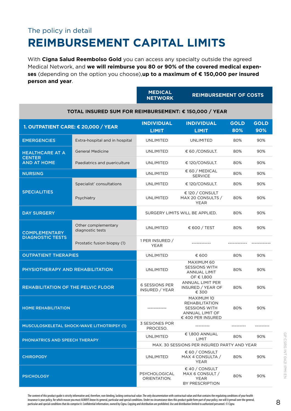### <span id="page-7-0"></span>The policy in detail **REIMBURSEMENT CAPITAL LIMITS**

With **Cigna Salud Reembolso Gold** you can access any specialty outside the agreed Medical Network, and **we will reimburse you 80 or 90% of the covered medical expenses** (depending on the option you choose),**up to a maximum of € 150,000 per insured person and year**.

|                                                               |                                         | <b>MEDICAL</b><br><b>NETWORK</b>            | <b>REIMBURSEMENT OF COSTS</b>                                                                       |                    |                    |  |  |
|---------------------------------------------------------------|-----------------------------------------|---------------------------------------------|-----------------------------------------------------------------------------------------------------|--------------------|--------------------|--|--|
| TOTAL INSURED SUM FOR REIMBURSEMENT: € 150,000 / YEAR         |                                         |                                             |                                                                                                     |                    |                    |  |  |
| 1. OUTPATIENT CARE: € 20,000 / YEAR                           |                                         | <b>INDIVIDUAL</b><br><b>LIMIT</b>           | <b>INDIVIDUAL</b><br><b>LIMIT</b>                                                                   | <b>GOLD</b><br>80% | <b>GOLD</b><br>90% |  |  |
| <b>EMERGENCIES</b>                                            | Extra-hospital and in hospital          | <b>UNLIMITED</b>                            | <b>UNLIMITED</b>                                                                                    | 80%                | 90%                |  |  |
| <b>HEALTHCARE AT A</b><br><b>CENTER</b><br><b>AND AT HOME</b> | <b>General Medicine</b>                 | <b>UNLIMITED</b>                            | € 60 / CONSULT.                                                                                     | 80%                | 90%                |  |  |
|                                                               | Paediatrics and puericulture            | <b>UNLIMITED</b>                            | € 120/CONSULT.                                                                                      | 80%                | 90%                |  |  |
| <b>NURSING</b>                                                |                                         | <b>UNLIMITED</b>                            | € 60 / MEDICAL<br><b>SERVICE</b>                                                                    | 80%                | 90%                |  |  |
|                                                               | Specialist' consultations               | <b>UNLIMITED</b>                            | € 120/CONSULT.                                                                                      | 80%                | 90%                |  |  |
| <b>SPECIALITIES</b>                                           | Psychiatry                              | <b>UNLIMITED</b>                            | € 120 / CONSULT<br>MAX 20 CONSULTS /<br><b>YEAR</b>                                                 | 80%                | 90%                |  |  |
| <b>DAY SURGERY</b>                                            |                                         | SURGERY LIMITS WILL BE APPLIED.             |                                                                                                     | 80%                | 90%                |  |  |
| <b>COMPLEMENTARY</b><br><b>DIAGNOSTIC TESTS</b>               | Other complementary<br>diagnostic tests | <b>UNLIMITED</b>                            | € 600 / TEST                                                                                        | 80%                | 90%                |  |  |
|                                                               | Prostatic fusion biopsy (1)             | 1 PER INSURED /<br>YEAR                     |                                                                                                     |                    |                    |  |  |
| <b>OUTPATIENT THERAPIES</b>                                   |                                         | <b>UNLIMITED</b>                            | € 600                                                                                               | 80%                | 90%                |  |  |
| PHYSIOTHERAPY AND REHABILITATION                              |                                         | <b>UNLIMITED</b>                            | MAXIMUM 60<br><b>SESSIONS WITH</b><br><b>ANNUAL LIMIT</b><br>OF € 1,800                             | 80%                | 90%                |  |  |
| <b>REHABILITATION OF THE PELVIC FLOOR</b>                     |                                         | <b>6 SESSIONS PER</b><br>INSURED / YEAR     | <b>ANNUAL LIMIT PER</b><br>INSURED / YEAR OF<br>€ 300                                               | 80%                | 90%                |  |  |
| <b>HOME REHABILITATION</b>                                    |                                         | ------------                                | MAXIMUM 10<br><b>REHABILITATION</b><br><b>SESSIONS WITH</b><br>ANNUAL LIMIT OF<br>€ 400 PER INSURED | 80%                | 90%                |  |  |
| MUSCULOSKELETAL SHOCK-WAVE LITHOTRIPSY (1)                    |                                         | 3 SESIONES POR<br>PROCESO.                  | ---------                                                                                           |                    |                    |  |  |
| PHONIATRICS AND SPEECH THERAPY                                |                                         | <b>UNLIMITED</b>                            | € 1,800 ANNUAL<br>LIMIT                                                                             | 80%                | 90%                |  |  |
|                                                               |                                         | MAX. 30 SESSIONS PER INSURED PARTY AND YEAR |                                                                                                     |                    |                    |  |  |
| <b>CHIROPODY</b>                                              |                                         | <b>UNLIMITED</b>                            | $\epsilon$ 60 / CONSULT<br>MAX 4 CONSULTA /<br><b>YEAR</b>                                          | 80%                | 90%                |  |  |
| <b>PSICHOLOGY</b>                                             |                                         | PSYCHOLOGICAL<br>ORIENTATION.               | € 40 / CONSULT<br>MAX 6 CONSULT /<br><b>YEAR</b><br>BY PRESCRIPTION                                 | 80%                | 90%                |  |  |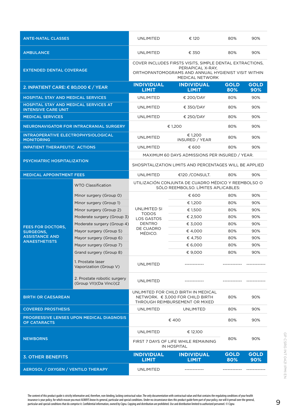| <b>ANTE-NATAL CLASSES</b>                                                  |                                                        | UNLIMITED                                                                                                                                               | € 120                                          | 80%                | 90%                |
|----------------------------------------------------------------------------|--------------------------------------------------------|---------------------------------------------------------------------------------------------------------------------------------------------------------|------------------------------------------------|--------------------|--------------------|
| <b>AMBULANCE</b>                                                           |                                                        | UNLIMITED                                                                                                                                               | € 350                                          | 80%                | 90%                |
| <b>EXTENDED DENTAL COVERAGE</b>                                            |                                                        | COVER INCLUDES FIRSTS VISITS, SIMPLE DENTAL EXTRACTIONS,<br>PERIAPICAL X-RAY.<br>ORTHOPANTOMOGRAMS AND ANNUAL HYGIENIST VISIT WITHIN<br>MEDICAL NETWORK |                                                |                    |                    |
| 2. INPATIENT CARE: € 80,000 € / YEAR                                       |                                                        | <b>INDIVIDUAL</b><br><b>LIMIT</b>                                                                                                                       | <b>INDIVIDUAL</b><br><b>LIMIT</b>              | <b>GOLD</b><br>80% | <b>GOLD</b><br>90% |
| <b>HOSPITAL STAY AND MEDICAL SERVICES</b>                                  |                                                        | UNLIMITED                                                                                                                                               | € 200/DAY                                      | 80%                | 90%                |
| <b>HOSPITAL STAY AND MEDICAL SERVICES AT</b><br><b>INTENSIVE CARE UNIT</b> |                                                        | UNLIMITED                                                                                                                                               | € 350/DAY                                      | 80%                | 90%                |
| <b>MEDICAL SERVICES</b>                                                    |                                                        | <b>UNLIMITED</b>                                                                                                                                        | € 250/DAY                                      | 80%                | 90%                |
| NEURONAVIGATOR FOR INTRACRANIAL SURGERY                                    |                                                        |                                                                                                                                                         | € 1,200                                        | 80%                | 90%                |
| INTRAOPERATIVE ELECTROPHYSIOLOGICAL<br><b>MONITORING</b>                   |                                                        | <b>UNLIMITED</b>                                                                                                                                        | € 1,200<br>INSURED / YEAR                      | 80%                | 90%                |
| <b>INPATIENT THERAPEUTIC ACTIONS</b>                                       |                                                        | <b>UNLIMITED</b>                                                                                                                                        | € 600                                          | 80%                | 90%                |
| <b>PSYCHIATRIC HOSPITALIZATION</b>                                         |                                                        |                                                                                                                                                         | MAXIMUM 60 DAYS ADMISSIONS PER INSURED / YEAR. |                    |                    |
|                                                                            |                                                        | SHOSPITALIZATION LIMITS AND PERCENTAGES WILL BE APPLIED                                                                                                 |                                                |                    |                    |
| <b>MEDICAL APPOINTMENT FEES</b>                                            |                                                        | UNLIMITED                                                                                                                                               | €120 / CONSULT.                                | 80%                | 90%                |
|                                                                            | <b>WTO Classification</b>                              | UTILIZACIÓN CONJUNTA DE CUADRO MÉDICO Y REEMBOLSO O<br>SÓLO REEMBOLSO. LÍMITES APLICABLES:                                                              |                                                |                    |                    |
|                                                                            | Minor surgery (Group 0)                                |                                                                                                                                                         | € 600                                          | 80%                | 90%                |
|                                                                            | Minor surgery (Group 1)                                |                                                                                                                                                         | € 1,200                                        | 80%                | 90%                |
|                                                                            | Minor surgery (Group 2)                                | UNLIMITED SI<br><b>TODOS</b><br>LOS GASTOS<br><b>DENTRO</b><br>DE CUADRO<br>MÉDICO.                                                                     | € 1,500                                        | 80%                | 90%                |
|                                                                            | Moderate surgery (Group 3)                             |                                                                                                                                                         | € 2,500                                        | 80%                | 90%                |
| <b>FEES FOR DOCTORS,</b>                                                   | Moderate surgery (Group 4)                             |                                                                                                                                                         | € 3,000                                        | 80%                | 90%                |
| <b>SURGEONS,</b>                                                           | Mayor surgery (Group 5)                                |                                                                                                                                                         | € 4,000                                        | 80%                | 90%                |
| <b>ASSISTANCE AND</b><br><b>ANAESTHETISTS</b>                              | Mayor surgery (Group 6)                                |                                                                                                                                                         | € 4,750                                        | 80%                | 90%                |
|                                                                            | Mayor surgery (Group 7)                                |                                                                                                                                                         | € 6,000                                        | 80%                | 90%                |
|                                                                            | Grand surgery (Group 8)                                |                                                                                                                                                         | € 9,000                                        | 80%                | 90%                |
|                                                                            | 1. Prostate laser<br>Vaporization (Group V)            | <b>UNLIMITED</b>                                                                                                                                        |                                                |                    |                    |
|                                                                            | 2. Prostate robotic surgery<br>(Group VII)(Da Vinci)(2 | <b>UNLIMITED</b>                                                                                                                                        |                                                |                    |                    |
| <b>BIRTH OR CAESAREAN</b>                                                  |                                                        | UNLIMITED FOR CHILD BIRTH IN MEDICAL<br>NETWORK. € 3.000 FOR CHILD BIRTH<br>80%<br>90%<br>THROUGH REIMBURSEMENT OR MIXED                                |                                                |                    |                    |
| <b>COVERED PROSTHESIS</b>                                                  |                                                        | <b>UNLIMITED</b>                                                                                                                                        | <b>UNLIMITED</b>                               | 80%                | 90%                |
| <b>PROGRESSIVE LENSES UPON MEDICAL DIAGNOSIS</b><br><b>OF CATARACTS</b>    |                                                        | €400                                                                                                                                                    |                                                | 80%                | 90%                |
| <b>NEWBORNS</b>                                                            |                                                        | <b>UNLIMITED</b>                                                                                                                                        | € 12,100                                       |                    |                    |
|                                                                            |                                                        | FIRST 7 DAYS OF LIFE WHILE REMAINING<br><b>IN HOSPITAL</b>                                                                                              |                                                | 80%                | 90%                |
| <b>3. OTHER BENEFITS</b>                                                   |                                                        | <b>INDIVIDUAL</b><br><b>LIMIT</b>                                                                                                                       | <b>INDIVIDUAL</b><br><b>LIMIT</b>              | <b>GOLD</b><br>80% | <b>GOLD</b><br>90% |
| AEROSOL / OXYGEN / VENTILO THERAPY                                         |                                                        | <b>UNLIMITED</b>                                                                                                                                        |                                                |                    |                    |

The content of this product guide is strictly informative and, therefore, non-binding, lacking contractual value. The only documentation with contractual value and that contains the regulating conditions of your health insurance is your policy, for which reason you must ALWAYS know its general, particular and special conditions. Under no circumstance does this product guide form part of your policy, nor will it prevail over the general,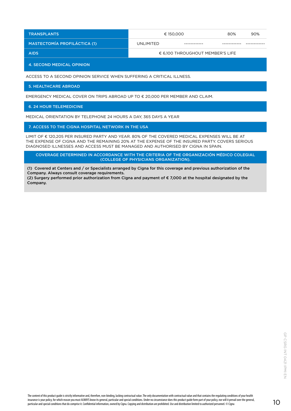| <b>TRANSPLANTS</b>                  | € 150.000                                 |             | 80% | 90% |  |
|-------------------------------------|-------------------------------------------|-------------|-----|-----|--|
| <b>MASTECTOMÍA PROFILÁCTICA (1)</b> | UNLIMITED                                 | ----------- |     |     |  |
| <b>AIDS</b>                         | $\epsilon$ 6,100 THROUGHOUT MEMBER'S LIFE |             |     |     |  |

4. SECOND MEDICAL OPINION

ACCESS TO A SECOND OPINION SERVICE WHEN SUFFERING A CRITICAL ILLNESS.

5. HEALTHCARE ABROAD

EMERGENCY MEDICAL COVER ON TRIPS ABROAD UP TO € 20,000 PER MEMBER AND CLAIM.

6. 24 HOUR TELEMEDICINE

MEDICAL ORIENTATION BY TELEPHONE 24 HOURS A DAY, 365 DAYS A YEAR

7. ACCESS TO THE CIGNA HOSPITAL NETWORK IN THE USA

LIMIT OF € 120,205 PER INSURED PARTY AND YEAR. 80% OF THE COVERED MEDICAL EXPENSES WILL BE AT THE EXPENSE OF CIGNA AND THE REMAINING 20% AT THE EXPENSE OF THE INSURED PARTY. COVERS SERIOUS DIAGNOSED ILLNESSES AND ACCESS MUST BE MANAGED AND AUTHORISED BY CIGNA IN SPAIN.

COVERAGE DETERMINED IN ACCORDANCE WITH THE CRITERIA OF THE ORGANIZACIÓN MÉDICO COLEGIAL (COLLEGE OF PHYSICIANS ORGANIZATION).

(1) Covered at Centers and / or Specialists arranged by Cigna for this coverage and previous authorization of the Company. Always consult coverage requirements.

(2) Surgery performed prior authorization from Cigna and payment of € 7,000 at the hospital designated by the Company.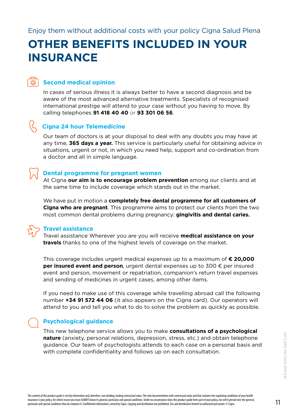### <span id="page-10-0"></span>**OTHER BENEFITS INCLUDED IN YOUR INSURANCE**

### **Second medical opinion**

In cases of serious illness it is always better to have a second diagnosis and be aware of the most advanced alternative treatments. Specialists of recognised international prestige will attend to your case without you having to move. By calling telephones **91 418 40 40** or **93 301 06 56**.

### **Cigna 24 hour Telemedicine**

Our team of doctors is at your disposal to deal with any doubts you may have at any time, **365 days a year.** This service is particularly useful for obtaining advice in situations, urgent or not, in which you need help, support and co-ordination from a doctor and all in simple language.

### **Dental programme for pregnant women**

At Cigna **our aim is to encourage problem prevention** among our clients and at the same time to include coverage which stands out in the market.

We have put in motion a **completely free dental programme for all customers of Cigna who are pregnant**. This programme aims to protect our clients from the two most common dental problems during pregnancy: **gingivitis and dental caries.**

 $\bigoplus$ 

#### **Travel assistance**

Travel assistance Wherever you are you will receive **medical assistance on your travels** thanks to one of the highest levels of coverage on the market.

This coverage includes urgent medical expenses up to a maximum of **€ 20,000 per insured event and person**, urgent dental expenses up to 300 € per insured event and person, movement or repatriation, companion's return travel expenses and sending of medicines in urgent cases, among other items.

If you need to make use of this coverage while travelling abroad call the following number **+34 91 572 44 06** (it also appears on the Cigna card). Our operators will attend to you and tell you what to do to solve the problem as quickly as possible.

### **Psychological guidance**

This new telephone service allows you to make **consultations of a psychological nature** (anxiety, personal relations, depression, stress, etc.) and obtain telephone guidance. Our team of psychologists attends to each case on a personal basis and with complete confidentiality and follows up on each consultation.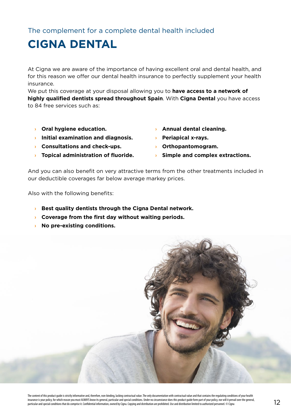<span id="page-11-0"></span>The complement for a complete dental health included

### **CIGNA DENTAL**

At Cigna we are aware of the importance of having excellent oral and dental health, and for this reason we offer our dental health insurance to perfectly supplement your health insurance.

We put this coverage at your disposal allowing you to **have access to a network of highly qualified dentists spread throughout Spain**. With **Cigna Dental** you have access to 84 free services such as:

- **› Oral hygiene education.**
- **› Initial examination and diagnosis.**
- **› Consultations and check-ups.**
- **› Topical administration of fluoride. › Simple and complex extractions.**
- **› Annual dental cleaning.**
- **› Periapical x-rays.**
- **› Orthopantomogram.**
	-

And you can also benefit on very attractive terms from the other treatments included in our deductible coverages far below average markey prices.

Also with the following benefits:

- **› Best quality dentists through the Cigna Dental network.**
- **› Coverage from the first day without waiting periods.**
- **› No pre-existing conditions.**

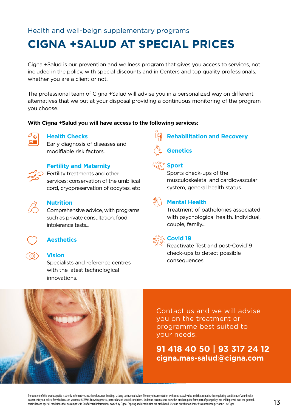### <span id="page-12-0"></span>Health and well-beign supplementary programs

### **CIGNA +SALUD AT SPECIAL PRICES**

Cigna +Salud is our prevention and wellness program that gives you access to services, not included in the policy, with special discounts and in Centers and top quality professionals, whether you are a client or not.

The professional team of Cigna +Salud will advise you in a personalized way on different alternatives that we put at your disposal providing a continuous monitoring of the program you choose.

#### **With Cigna +Salud you will have access to the following services:**



#### **Health Checks**

Early diagnosis of diseases and modifiable risk factors.



#### **Fertility and Maternity**

**Fertility treatments and other** services: conservation of the umbilical cord, cryopreservation of oocytes, etc



#### **Nutrition**

Comprehensive advice, with programs such as private consultation, food intolerance tests...



### **Aesthetics**

#### **Vision**

Specialists and reference centres with the latest technological innovations.





#### **Sport**

Sports check-ups of the musculoskeletal and cardiovascular system, general health status..



### **Mental Health**

Treatment of pathologies associated with psychological health. Individual, couple, family...



#### **Covid 19**

Reactívate Test and post-Covid19 check-ups to detect possible consequences.



Contact us and we will advise you on the treatment or programme best suited to your needs.

### **91 418 40 50 | 93 317 24 12 cigna.mas-salud@cigna.com**